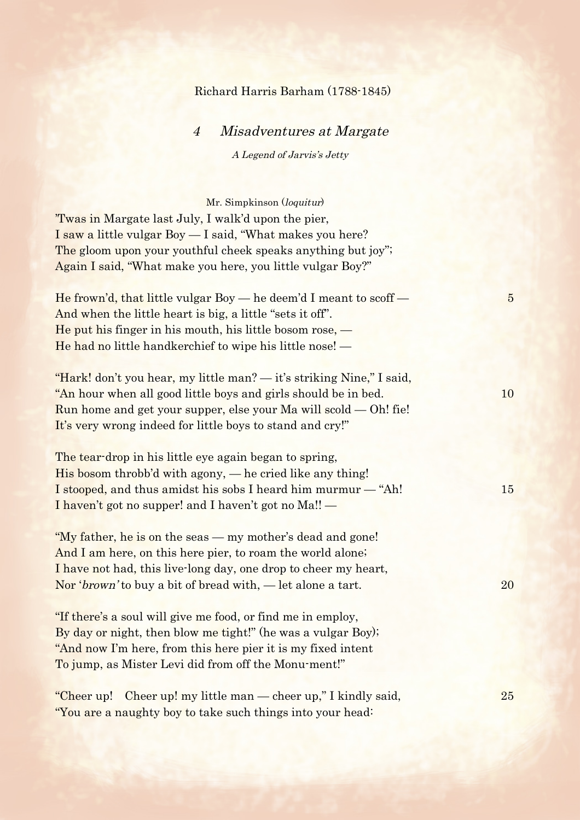## Richard Harris Barham (1788-1845)

| Misadventures at Margate<br>$\overline{4}$                                                                                                                                                                                                                                  |                |
|-----------------------------------------------------------------------------------------------------------------------------------------------------------------------------------------------------------------------------------------------------------------------------|----------------|
| A Legend of Jarvis's Jetty                                                                                                                                                                                                                                                  |                |
|                                                                                                                                                                                                                                                                             |                |
| Mr. Simpkinson (loquitur)<br>'Twas in Margate last July, I walk'd upon the pier,<br>I saw a little vulgar Boy — I said, "What makes you here?<br>The gloom upon your youthful cheek speaks anything but joy";<br>Again I said, "What make you here, you little vulgar Boy?" |                |
| He frown'd, that little vulgar Boy $-$ he deem'd I meant to scoff $-$<br>And when the little heart is big, a little "sets it off".<br>He put his finger in his mouth, his little bosom rose, $-$<br>He had no little handkerchief to wipe his little nose! —                | $\overline{5}$ |
| "Hark! don't you hear, my little man? - it's striking Nine," I said,<br>"An hour when all good little boys and girls should be in bed.<br>Run home and get your supper, else your Ma will scold $-$ Oh! fie!<br>It's very wrong indeed for little boys to stand and cry!"   | 10             |
| The tear-drop in his little eye again began to spring,<br>His bosom throbb'd with agony, — he cried like any thing!<br>I stooped, and thus amidst his sobs I heard him murmur — "Ah!<br>I haven't got no supper! and I haven't got no Ma!! —                                | 15             |
| "My father, he is on the seas — my mother's dead and gone!<br>And I am here, on this here pier, to roam the world alone;<br>I have not had, this live-long day, one drop to cheer my heart,<br>Nor ' <i>brown</i> ' to buy a bit of bread with, — let alone a tart.         | 20             |
| "If there's a soul will give me food, or find me in employ,<br>By day or night, then blow me tight!" (he was a vulgar Boy);<br>"And now I'm here, from this here pier it is my fixed intent<br>To jump, as Mister Levi did from off the Monu-ment!"                         |                |
| Cheer up! my little man — cheer up," I kindly said,<br>"Cheer up!<br>"You are a naughty boy to take such things into your head:                                                                                                                                             | <b>25</b>      |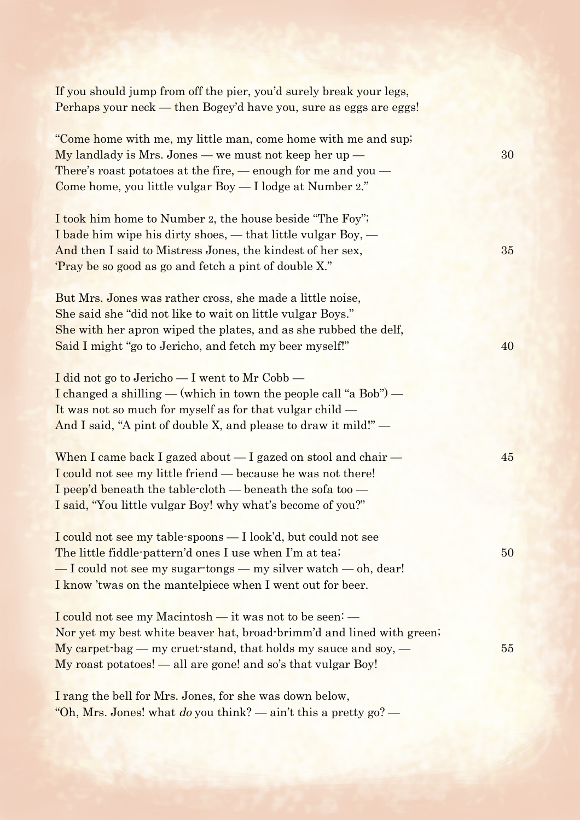| If you should jump from off the pier, you'd surely break your legs,<br>Perhaps your neck — then Bogey'd have you, sure as eggs are eggs!                                                                                                                             |    |
|----------------------------------------------------------------------------------------------------------------------------------------------------------------------------------------------------------------------------------------------------------------------|----|
| "Come home with me, my little man, come home with me and sup;<br>$My$ landlady is Mrs. Jones — we must not keep her up —<br>There's roast potatoes at the fire, $-$ enough for me and you $-$<br>Come home, you little vulgar Boy - I lodge at Number 2."            | 30 |
| I took him home to Number 2, the house beside "The Foy";<br>I bade him wipe his dirty shoes, $-$ that little vulgar Boy, $-$<br>And then I said to Mistress Jones, the kindest of her sex,<br>'Pray be so good as go and fetch a pint of double X."                  | 35 |
| But Mrs. Jones was rather cross, she made a little noise,<br>She said she "did not like to wait on little vulgar Boys."<br>She with her apron wiped the plates, and as she rubbed the delf,<br>Said I might "go to Jericho, and fetch my beer myself!"               | 40 |
| I did not go to Jericho - I went to Mr Cobb -<br>I changed a shilling — (which in town the people call "a Bob") —<br>It was not so much for myself as for that vulgar child —<br>And I said, "A pint of double X, and please to draw it mild!" —                     |    |
| When I came back I gazed about $-$ I gazed on stool and chair $-$<br>I could not see my little friend — because he was not there!<br>I peep'd beneath the table-cloth — beneath the sofa too —<br>I said, "You little vulgar Boy! why what's become of you?"         | 45 |
| I could not see my table-spoons — I look'd, but could not see<br>The little fiddle-pattern'd ones I use when I'm at tea;<br>-I could not see my sugar tongs - my silver watch - oh, dear!<br>I know 'twas on the mantelpiece when I went out for beer.               | 50 |
| I could not see my Macintosh — it was not to be seen: —<br>Nor yet my best white beaver hat, broad-brimm'd and lined with green;<br>$My$ carpet bag — my cruet stand, that holds my sauce and soy, —<br>My roast potatoes! - all are gone! and so's that vulgar Boy! | 55 |
| I rang the bell for Mrs. Jones, for she was down below,                                                                                                                                                                                                              |    |

"Oh, Mrs. Jones! what do you think? — ain't this a pretty  $g_0$ ? —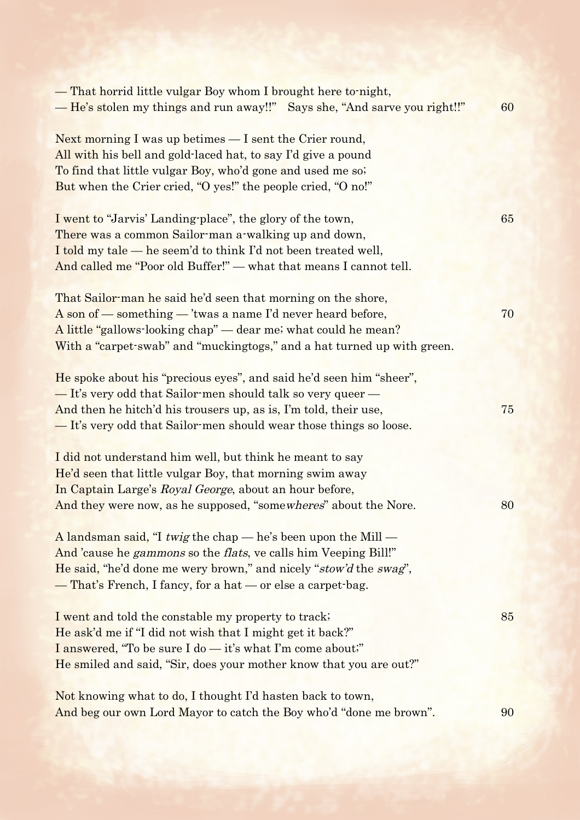| — That horrid little vulgar Boy whom I brought here to night,<br>- He's stolen my things and run away!!" Says she, "And sarve you right!!"                                                                                                                                 | 60 |
|----------------------------------------------------------------------------------------------------------------------------------------------------------------------------------------------------------------------------------------------------------------------------|----|
| Next morning I was up betimes $-$ I sent the Crier round,<br>All with his bell and gold-laced hat, to say I'd give a pound<br>To find that little vulgar Boy, who'd gone and used me so.<br>But when the Crier cried, "O yes!" the people cried, "O no!"                   |    |
| I went to "Jarvis' Landing-place", the glory of the town,<br>There was a common Sailor-man a-walking up and down,<br>I told my tale — he seem'd to think I'd not been treated well,<br>And called me "Poor old Buffer!" — what that means I cannot tell.                   | 65 |
| That Sailor-man he said he'd seen that morning on the shore,<br>A son of — something — 'twas a name I'd never heard before,<br>A little "gallows-looking chap" — dear me; what could he mean?<br>With a "carpet-swab" and "muckingtogs," and a hat turned up with green.   | 70 |
| He spoke about his "precious eyes", and said he'd seen him "sheer",<br>- It's very odd that Sailor-men should talk so very queer<br>And then he hitch'd his trousers up, as is, I'm told, their use,<br>- It's very odd that Sailor-men should wear those things so loose. | 75 |
| I did not understand him well, but think he meant to say<br>He'd seen that little vulgar Boy, that morning swim away<br>In Captain Large's Royal George, about an hour before,<br>And they were now, as he supposed, "somewheres" about the Nore.                          | 80 |
| A landsman said, "I twig the chap $-$ he's been upon the Mill $-$<br>And 'cause he gammons so the flats, ve calls him Veeping Bill!"<br>He said, "he'd done me wery brown," and nicely "stow'd the swag",<br>— That's French, I fancy, for a hat — or else a carpet-bag.   |    |
| I went and told the constable my property to track;<br>He ask'd me if "I did not wish that I might get it back?"<br>I answered, "To be sure I do — it's what I'm come about;"<br>He smiled and said, "Sir, does your mother know that you are out?"                        | 85 |
| Not knowing what to do, I thought I'd hasten back to town,<br>And beg our own Lord Mayor to catch the Boy who'd "done me brown".                                                                                                                                           | 90 |